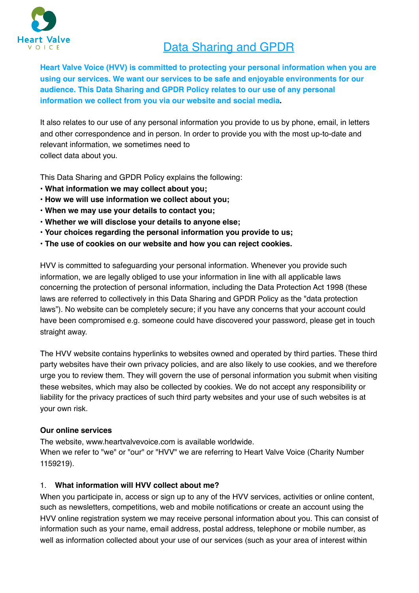

# Data Sharing and GPDR

**Heart Valve Voice (HVV) is committed to protecting your personal information when you are using our services. We want our services to be safe and enjoyable environments for our audience. This Data Sharing and GPDR Policy relates to our use of any personal information we collect from you via our website and social media.**

It also relates to our use of any personal information you provide to us by phone, email, in letters and other correspondence and in person. In order to provide you with the most up-to-date and relevant information, we sometimes need to collect data about you.

This Data Sharing and GPDR Policy explains the following:

- **What information we may collect about you;**
- **How we will use information we collect about you;**
- **When we may use your details to contact you;**
- **Whether we will disclose your details to anyone else;**
- **Your choices regarding the personal information you provide to us;**
- **The use of cookies on our website and how you can reject cookies.**

HVV is committed to safeguarding your personal information. Whenever you provide such information, we are legally obliged to use your information in line with all applicable laws concerning the protection of personal information, including the Data Protection Act 1998 (these laws are referred to collectively in this Data Sharing and GPDR Policy as the "data protection laws"). No website can be completely secure; if you have any concerns that your account could have been compromised e.g. someone could have discovered your password, please get in touch straight away.

The HVV website contains hyperlinks to websites owned and operated by third parties. These third party websites have their own privacy policies, and are also likely to use cookies, and we therefore urge you to review them. They will govern the use of personal information you submit when visiting these websites, which may also be collected by cookies. We do not accept any responsibility or liability for the privacy practices of such third party websites and your use of such websites is at your own risk.

#### **Our online services**

The website, www.heartvalvevoice.com is available worldwide.

When we refer to "we" or "our" or "HVV" we are referring to Heart Valve Voice (Charity Number 1159219).

#### 1. **What information will HVV collect about me?**

When you participate in, access or sign up to any of the HVV services, activities or online content, such as newsletters, competitions, web and mobile notifications or create an account using the HVV online registration system we may receive personal information about you. This can consist of information such as your name, email address, postal address, telephone or mobile number, as well as information collected about your use of our services (such as your area of interest within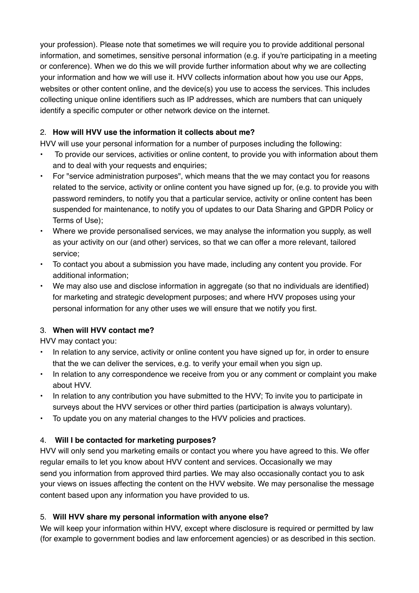your profession). Please note that sometimes we will require you to provide additional personal information, and sometimes, sensitive personal information (e.g. if you're participating in a meeting or conference). When we do this we will provide further information about why we are collecting your information and how we will use it. HVV collects information about how you use our Apps, websites or other content online, and the device(s) you use to access the services. This includes collecting unique online identifiers such as IP addresses, which are numbers that can uniquely identify a specific computer or other network device on the internet.

## 2. **How will HVV use the information it collects about me?**

HVV will use your personal information for a number of purposes including the following:

- To provide our services, activities or online content, to provide you with information about them and to deal with your requests and enquiries;
- For "service administration purposes", which means that the we may contact you for reasons related to the service, activity or online content you have signed up for, (e.g. to provide you with password reminders, to notify you that a particular service, activity or online content has been suspended for maintenance, to notify you of updates to our Data Sharing and GPDR Policy or Terms of Use);
- Where we provide personalised services, we may analyse the information you supply, as well as your activity on our (and other) services, so that we can offer a more relevant, tailored service;
- To contact you about a submission you have made, including any content you provide. For additional information;
- We may also use and disclose information in aggregate (so that no individuals are identified) for marketing and strategic development purposes; and where HVV proposes using your personal information for any other uses we will ensure that we notify you first.

# 3. **When will HVV contact me?**

HVV may contact you:

- In relation to any service, activity or online content you have signed up for, in order to ensure that the we can deliver the services, e.g. to verify your email when you sign up.
- In relation to any correspondence we receive from you or any comment or complaint you make about HVV.
- In relation to any contribution you have submitted to the HVV; To invite you to participate in surveys about the HVV services or other third parties (participation is always voluntary).
- To update you on any material changes to the HVV policies and practices.

## 4. **Will I be contacted for marketing purposes?**

HVV will only send you marketing emails or contact you where you have agreed to this. We offer regular emails to let you know about HVV content and services. Occasionally we may send you information from approved third parties. We may also occasionally contact you to ask your views on issues affecting the content on the HVV website. We may personalise the message content based upon any information you have provided to us.

## 5. **Will HVV share my personal information with anyone else?**

We will keep your information within HVV, except where disclosure is required or permitted by law (for example to government bodies and law enforcement agencies) or as described in this section.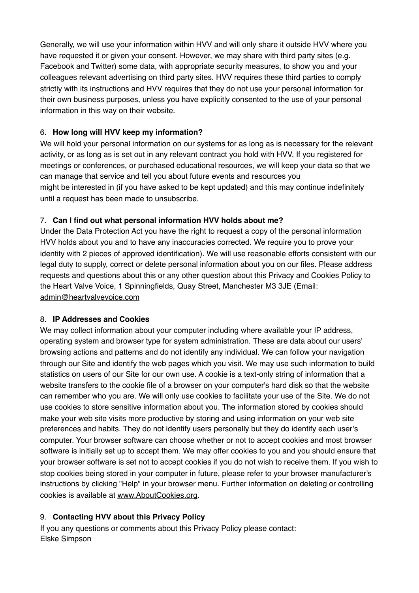Generally, we will use your information within HVV and will only share it outside HVV where you have requested it or given your consent. However, we may share with third party sites (e.g. Facebook and Twitter) some data, with appropriate security measures, to show you and your colleagues relevant advertising on third party sites. HVV requires these third parties to comply strictly with its instructions and HVV requires that they do not use your personal information for their own business purposes, unless you have explicitly consented to the use of your personal information in this way on their website.

## 6. **How long will HVV keep my information?**

We will hold your personal information on our systems for as long as is necessary for the relevant activity, or as long as is set out in any relevant contract you hold with HVV. If you registered for meetings or conferences, or purchased educational resources, we will keep your data so that we can manage that service and tell you about future events and resources you might be interested in (if you have asked to be kept updated) and this may continue indefinitely until a request has been made to unsubscribe.

## 7. **Can I find out what personal information HVV holds about me?**

Under the Data Protection Act you have the right to request a copy of the personal information HVV holds about you and to have any inaccuracies corrected. We require you to prove your identity with 2 pieces of approved identification). We will use reasonable efforts consistent with our legal duty to supply, correct or delete personal information about you on our files. Please address requests and questions about this or any other question about this Privacy and Cookies Policy to the Heart Valve Voice, 1 Spinningfields, Quay Street, Manchester M3 3JE (Email: [admin@heartvalvevoice.com](mailto:admin@heartvalvevoice.com)

## 8. **IP Addresses and Cookies**

We may collect information about your computer including where available your IP address, operating system and browser type for system administration. These are data about our users' browsing actions and patterns and do not identify any individual. We can follow your navigation through our Site and identify the web pages which you visit. We may use such information to build statistics on users of our Site for our own use. A cookie is a text-only string of information that a website transfers to the cookie file of a browser on your computer's hard disk so that the website can remember who you are. We will only use cookies to facilitate your use of the Site. We do not use cookies to store sensitive information about you. The information stored by cookies should make your web site visits more productive by storing and using information on your web site preferences and habits. They do not identify users personally but they do identify each user's computer. Your browser software can choose whether or not to accept cookies and most browser software is initially set up to accept them. We may offer cookies to you and you should ensure that your browser software is set not to accept cookies if you do not wish to receive them. If you wish to stop cookies being stored in your computer in future, please refer to your browser manufacturer's instructions by clicking "Help" in your browser menu. Further information on deleting or controlling cookies is available at [www.AboutCookies.org](http://www.AboutCookies.org).

# 9. **Contacting HVV about this Privacy Policy**

If you any questions or comments about this Privacy Policy please contact: Elske Simpson